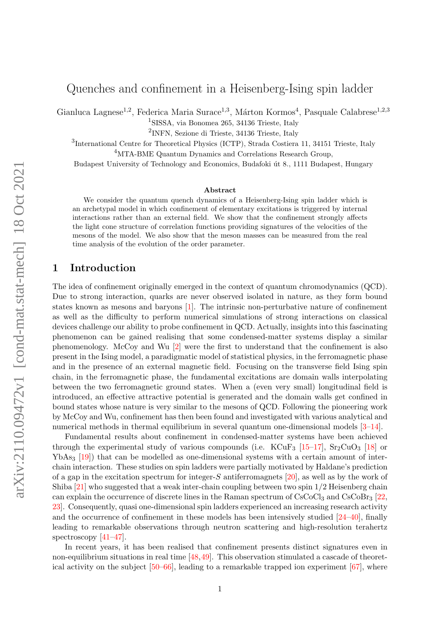# Quenches and confinement in a Heisenberg-Ising spin ladder

Gianluca Lagnese<sup>1,2</sup>, Federica Maria Surace<sup>1,3</sup>, Márton Kormos<sup>4</sup>, Pasquale Calabrese<sup>1,2,3</sup>

1 SISSA, via Bonomea 265, 34136 Trieste, Italy

2 INFN, Sezione di Trieste, 34136 Trieste, Italy

<sup>3</sup>International Centre for Theoretical Physics (ICTP), Strada Costiera 11, 34151 Trieste, Italy <sup>4</sup>MTA-BME Quantum Dynamics and Correlations Research Group,

Budapest University of Technology and Economics, Budafoki út 8., 1111 Budapest, Hungary

#### Abstract

We consider the quantum quench dynamics of a Heisenberg-Ising spin ladder which is an archetypal model in which confinement of elementary excitations is triggered by internal interactions rather than an external field. We show that the confinement strongly affects the light cone structure of correlation functions providing signatures of the velocities of the mesons of the model. We also show that the meson masses can be measured from the real time analysis of the evolution of the order parameter.

### 1 Introduction

The idea of confinement originally emerged in the context of quantum chromodynamics (QCD). Due to strong interaction, quarks are never observed isolated in nature, as they form bound states known as mesons and baryons [\[1\]](#page-9-0). The intrinsic non-perturbative nature of confinement as well as the difficulty to perform numerical simulations of strong interactions on classical devices challenge our ability to probe confinement in QCD. Actually, insights into this fascinating phenomenon can be gained realising that some condensed-matter systems display a similar phenomenology. McCoy and Wu [\[2\]](#page-9-1) were the first to understand that the confinement is also present in the Ising model, a paradigmatic model of statistical physics, in the ferromagnetic phase and in the presence of an external magnetic field. Focusing on the transverse field Ising spin chain, in the ferromagnetic phase, the fundamental excitations are domain walls interpolating between the two ferromagnetic ground states. When a (even very small) longitudinal field is introduced, an effective attractive potential is generated and the domain walls get confined in bound states whose nature is very similar to the mesons of QCD. Following the pioneering work by McCoy and Wu, confinement has then been found and investigated with various analytical and numerical methods in thermal equilibrium in several quantum one-dimensional models [\[3–](#page-9-2)[14\]](#page-10-0).

Fundamental results about confinement in condensed-matter systems have been achieved through the experimental study of various compounds (i.e.  $KCuF_3$  [\[15](#page-10-1)[–17\]](#page-10-2),  $Sr_2CuO_3$  [\[18\]](#page-10-3) or  $YbAs<sub>3</sub>$  [\[19\]](#page-10-4)) that can be modelled as one-dimensional systems with a certain amount of interchain interaction. These studies on spin ladders were partially motivated by Haldane's prediction of a gap in the excitation spectrum for integer- $S$  antiferromagnets  $[20]$ , as well as by the work of Shiba  $[21]$  who suggested that a weak inter-chain coupling between two spin  $1/2$  Heisenberg chain can explain the occurrence of discrete lines in the Raman spectrum of  $\text{CsCoCl}_3$  and  $\text{CsCoBr}_3$  [\[22,](#page-10-7) [23\]](#page-10-8). Consequently, quasi one-dimensional spin ladders experienced an increasing research activity and the occurrence of confinement in these models has been intensively studied [\[24–](#page-11-0)[40\]](#page-11-1), finally leading to remarkable observations through neutron scattering and high-resolution terahertz spectroscopy [\[41](#page-11-2)[–47\]](#page-12-0).

In recent years, it has been realised that confinement presents distinct signatures even in non-equilibrium situations in real time [\[48,](#page-12-1)[49\]](#page-12-2). This observation stimulated a cascade of theoretical activity on the subject  $[50–66]$  $[50–66]$ , leading to a remarkable trapped ion experiment  $[67]$ , where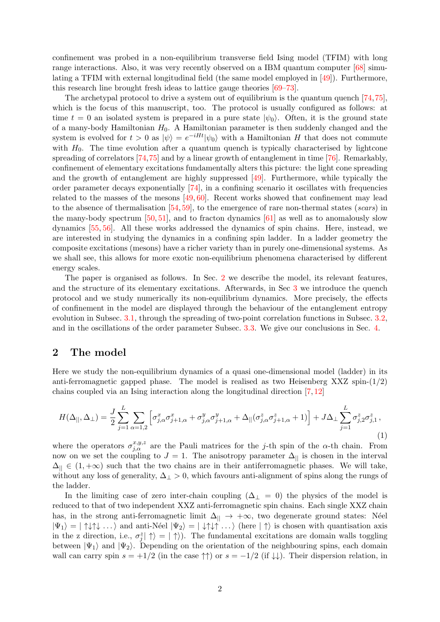confinement was probed in a non-equilibrium transverse field Ising model (TFIM) with long range interactions. Also, it was very recently observed on a IBM quantum computer [\[68\]](#page-13-2) simulating a TFIM with external longitudinal field (the same model employed in [\[49\]](#page-12-2)). Furthermore, this research line brought fresh ideas to lattice gauge theories [\[69–](#page-13-3)[73\]](#page-13-4).

The archetypal protocol to drive a system out of equilibrium is the quantum quench [\[74,](#page-13-5)[75\]](#page-14-0), which is the focus of this manuscript, too. The protocol is usually configured as follows: at time  $t = 0$  an isolated system is prepared in a pure state  $|\psi_0\rangle$ . Often, it is the ground state of a many-body Hamiltonian  $H_0$ . A Hamiltonian parameter is then suddenly changed and the system is evolved for  $t > 0$  as  $|\psi\rangle = e^{-iHt} |\psi_0\rangle$  with a Hamiltonian H that does not commute with  $H_0$ . The time evolution after a quantum quench is typically characterised by lightcone spreading of correlators [\[74,](#page-13-5)[75\]](#page-14-0) and by a linear growth of entanglement in time [\[76\]](#page-14-1). Remarkably, confinement of elementary excitations fundamentally alters this picture: the light cone spreading and the growth of entanglement are highly suppressed [\[49\]](#page-12-2). Furthermore, while typically the order parameter decays exponentially [\[74\]](#page-13-5), in a confining scenario it oscillates with frequencies related to the masses of the mesons [\[49,](#page-12-2) [60\]](#page-13-6). Recent works showed that confinement may lead to the absence of thermalisation  $[54, 59]$  $[54, 59]$  $[54, 59]$ , to the emergence of rare non-thermal states (scars) in the many-body spectrum  $[50, 51]$  $[50, 51]$  $[50, 51]$ , and to fracton dynamics  $[61]$  as well as to anomalously slow dynamics [\[55,](#page-12-6) [56\]](#page-12-7). All these works addressed the dynamics of spin chains. Here, instead, we are interested in studying the dynamics in a confining spin ladder. In a ladder geometry the composite excitations (mesons) have a richer variety than in purely one-dimensional systems. As we shall see, this allows for more exotic non-equilibrium phenomena characterised by different energy scales.

The paper is organised as follows. In Sec. [2](#page-1-0) we describe the model, its relevant features, and the structure of its elementary excitations. Afterwards, in Sec [3](#page-3-0) we introduce the quench protocol and we study numerically its non-equilibrium dynamics. More precisely, the effects of confinement in the model are displayed through the behaviour of the entanglement entropy evolution in Subsec. [3.1,](#page-3-1) through the spreading of two-point correlation functions in Subsec. [3.2,](#page-5-0) and in the oscillations of the order parameter Subsec. [3.3.](#page-6-0) We give our conclusions in Sec. [4.](#page-9-3)

### <span id="page-1-0"></span>2 The model

Here we study the non-equilibrium dynamics of a quasi one-dimensional model (ladder) in its anti-ferromagnetic gapped phase. The model is realised as two Heisenberg XXZ spin- $(1/2)$ chains coupled via an Ising interaction along the longitudinal direction [\[7,](#page-10-9) [12\]](#page-10-10)

<span id="page-1-1"></span>
$$
H(\Delta_{||}, \Delta_{\perp}) = \frac{J}{2} \sum_{j=1}^{L} \sum_{\alpha=1,2} \left[ \sigma_{j,\alpha}^x \sigma_{j+1,\alpha}^x + \sigma_{j,\alpha}^y \sigma_{j+1,\alpha}^y + \Delta_{||}(\sigma_{j,\alpha}^z \sigma_{j+1,\alpha}^z + 1) \right] + J\Delta_{\perp} \sum_{j=1}^{L} \sigma_{j,2}^z \sigma_{j,1}^z,
$$
\n(1)

where the operators  $\sigma_{j,\alpha}^{x,y,z}$  are the Pauli matrices for the j-th spin of the  $\alpha$ -th chain. From now on we set the coupling to  $J = 1$ . The anisotropy parameter  $\Delta_{\parallel}$  is chosen in the interval  $\Delta_{\parallel} \in (1, +\infty)$  such that the two chains are in their antiferromagnetic phases. We will take, without any loss of generality,  $\Delta_{\perp} > 0$ , which favours anti-alignment of spins along the rungs of the ladder.

In the limiting case of zero inter-chain coupling  $(\Delta_{\perp} = 0)$  the physics of the model is reduced to that of two independent XXZ anti-ferromagnetic spin chains. Each single XXZ chain has, in the strong anti-ferromagnetic limit  $\Delta_{\parallel} \rightarrow +\infty$ , two degenerate ground states: Néel  $|\Psi_1\rangle = | \uparrow \downarrow \uparrow \downarrow \dots \rangle$  and anti-Néel  $|\Psi_2\rangle = | \downarrow \uparrow \downarrow \uparrow \dots \rangle$  (here  $|\uparrow\rangle$  is chosen with quantisation axis in the z direction, i.e.,  $\sigma_j^z | \uparrow \rangle = | \uparrow \rangle$ . The fundamental excitations are domain walls toggling between  $|\Psi_1\rangle$  and  $|\Psi_2\rangle$ . Depending on the orientation of the neighbouring spins, each domain wall can carry spin  $s = +1/2$  (in the case  $\uparrow\uparrow$ ) or  $s = -1/2$  (if  $\downarrow\downarrow$ ). Their dispersion relation, in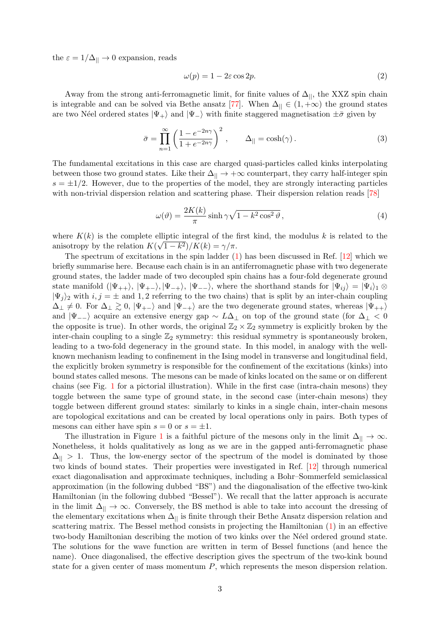the  $\varepsilon = 1/\Delta_{||} \rightarrow 0$  expansion, reads

$$
\omega(p) = 1 - 2\varepsilon \cos 2p. \tag{2}
$$

Away from the strong anti-ferromagnetic limit, for finite values of  $\Delta_{||}$ , the XXZ spin chain is integrable and can be solved via Bethe ansatz [\[77\]](#page-14-2). When  $\Delta_{\parallel} \in (1, +\infty)$  the ground states are two Néel ordered states  $|\Psi_+\rangle$  and  $|\Psi_-\rangle$  with finite staggered magnetisation  $\pm \bar{\sigma}$  given by

$$
\bar{\sigma} = \prod_{n=1}^{\infty} \left( \frac{1 - e^{-2n\gamma}}{1 + e^{-2n\gamma}} \right)^2, \qquad \Delta_{\parallel} = \cosh(\gamma). \tag{3}
$$

The fundamental excitations in this case are charged quasi-particles called kinks interpolating between those two ground states. Like their  $\Delta_{\parallel} \rightarrow +\infty$  counterpart, they carry half-integer spin  $s = \pm 1/2$ . However, due to the properties of the model, they are strongly interacting particles with non-trivial dispersion relation and scattering phase. Their dispersion relation reads [\[78\]](#page-14-3)

<span id="page-2-0"></span>
$$
\omega(\vartheta) = \frac{2K(k)}{\pi} \sinh \gamma \sqrt{1 - k^2 \cos^2 \vartheta},\tag{4}
$$

where  $K(k)$  is the complete elliptic integral of the first kind, the modulus k is related to the anisotropy by the relation  $K(\sqrt{1-k^2})/K(k) = \gamma/\pi$ .

The spectrum of excitations in the spin ladder [\(1\)](#page-1-1) has been discussed in Ref. [\[12\]](#page-10-10) which we briefly summarise here. Because each chain is in an antiferromagnetic phase with two degenerate ground states, the ladder made of two decoupled spin chains has a four-fold degenerate ground state manifold  $(|\Psi_{++}\rangle, |\Psi_{-+}\rangle, |\Psi_{-+}\rangle, |\Psi_{--}\rangle$ , where the shorthand stands for  $|\Psi_{ij}\rangle = |\Psi_i\rangle_1 \otimes$  $|\Psi_j\rangle$  with  $i, j = \pm$  and 1, 2 referring to the two chains) that is split by an inter-chain coupling  $\Delta_{\perp} \neq 0$ . For  $\Delta_{\perp} \geq 0$ ,  $|\Psi_{+-}\rangle$  and  $|\Psi_{-+}\rangle$  are the two degenerate ground states, whereas  $|\Psi_{++}\rangle$ and  $|\Psi_{-+}\rangle$  acquire an extensive energy gap  $\sim L\Delta_{\perp}$  on top of the ground state (for  $\Delta_{\perp}$  < 0 the opposite is true). In other words, the original  $\mathbb{Z}_2 \times \mathbb{Z}_2$  symmetry is explicitly broken by the inter-chain coupling to a single  $\mathbb{Z}_2$  symmetry: this residual symmetry is spontaneously broken, leading to a two-fold degeneracy in the ground state. In this model, in analogy with the wellknown mechanism leading to confinement in the Ising model in transverse and longitudinal field, the explicitly broken symmetry is responsible for the confinement of the excitations (kinks) into bound states called mesons. The mesons can be made of kinks located on the same or on different chains (see Fig. [1](#page-3-2) for a pictorial illustration). While in the first case (intra-chain mesons) they toggle between the same type of ground state, in the second case (inter-chain mesons) they toggle between different ground states: similarly to kinks in a single chain, inter-chain mesons are topological excitations and can be created by local operations only in pairs. Both types of mesons can either have spin  $s = 0$  or  $s = \pm 1$ .

The illustration in Figure [1](#page-3-2) is a faithful picture of the mesons only in the limit  $\Delta_{\parallel} \to \infty$ . Nonetheless, it holds qualitatively as long as we are in the gapped anti-ferromagnetic phase  $\Delta_{\parallel}$  > 1. Thus, the low-energy sector of the spectrum of the model is dominated by those two kinds of bound states. Their properties were investigated in Ref. [\[12\]](#page-10-10) through numerical exact diagonalisation and approximate techniques, including a Bohr–Sommerfeld semiclassical approximation (in the following dubbed "BS") and the diagonalisation of the effective two-kink Hamiltonian (in the following dubbed "Bessel"). We recall that the latter approach is accurate in the limit  $\Delta_{\parallel} \to \infty$ . Conversely, the BS method is able to take into account the dressing of the elementary excitations when  $\Delta_{||}$  is finite through their Bethe Ansatz dispersion relation and scattering matrix. The Bessel method consists in projecting the Hamiltonian [\(1\)](#page-1-1) in an effective two-body Hamiltonian describing the motion of two kinks over the Neel ordered ground state. The solutions for the wave function are written in term of Bessel functions (and hence the name). Once diagonalised, the effective description gives the spectrum of the two-kink bound state for a given center of mass momentum  $P$ , which represents the meson dispersion relation.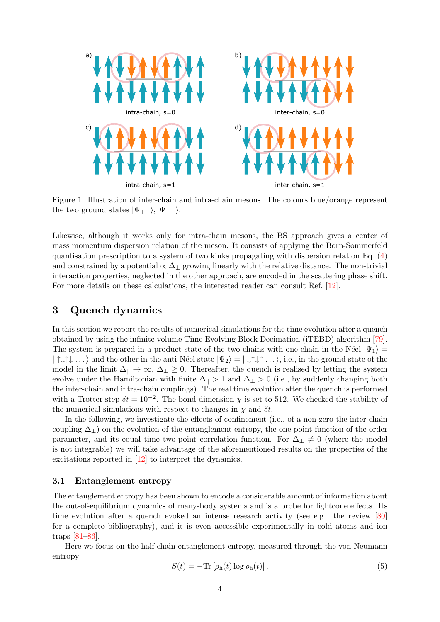<span id="page-3-2"></span>

Figure 1: Illustration of inter-chain and intra-chain mesons. The colours blue/orange represent the two ground states  $|\Psi_{+-}\rangle, |\Psi_{-+}\rangle.$ 

Likewise, although it works only for intra-chain mesons, the BS approach gives a center of mass momentum dispersion relation of the meson. It consists of applying the Born-Sommerfeld quantisation prescription to a system of two kinks propagating with dispersion relation Eq.  $(4)$ and constrained by a potential  $\propto \Delta_{\perp}$  growing linearly with the relative distance. The non-trivial interaction properties, neglected in the other approach, are encoded in the scattering phase shift. For more details on these calculations, the interested reader can consult Ref. [\[12\]](#page-10-10).

# <span id="page-3-0"></span>3 Quench dynamics

In this section we report the results of numerical simulations for the time evolution after a quench obtained by using the infinite volume Time Evolving Block Decimation (iTEBD) algorithm [\[79\]](#page-14-4). The system is prepared in a product state of the two chains with one chain in the Néel  $|\Psi_1\rangle$  =  $|\uparrow\downarrow\uparrow\downarrow\ldots\rangle$  and the other in the anti-Néel state  $|\Psi_2\rangle = |\downarrow\uparrow\downarrow\uparrow\ldots\rangle$ , i.e., in the ground state of the model in the limit  $\Delta_{\parallel} \to \infty$ ,  $\Delta_{\perp} \geq 0$ . Thereafter, the quench is realised by letting the system evolve under the Hamiltonian with finite  $\Delta_{\parallel} > 1$  and  $\Delta_{\perp} > 0$  (i.e., by suddenly changing both the inter-chain and intra-chain couplings). The real time evolution after the quench is performed with a Trotter step  $\delta t = 10^{-2}$ . The bond dimension  $\chi$  is set to 512. We checked the stability of the numerical simulations with respect to changes in  $\chi$  and  $\delta t$ .

In the following, we investigate the effects of confinement (i.e., of a non-zero the inter-chain coupling  $\Delta_{\perp}$ ) on the evolution of the entanglement entropy, the one-point function of the order parameter, and its equal time two-point correlation function. For  $\Delta_{\perp} \neq 0$  (where the model is not integrable) we will take advantage of the aforementioned results on the properties of the excitations reported in [\[12\]](#page-10-10) to interpret the dynamics.

### <span id="page-3-1"></span>3.1 Entanglement entropy

The entanglement entropy has been shown to encode a considerable amount of information about the out-of-equilibrium dynamics of many-body systems and is a probe for lightcone effects. Its time evolution after a quench evoked an intense research activity (see e.g. the review [\[80\]](#page-14-5) for a complete bibliography), and it is even accessible experimentally in cold atoms and ion traps [\[81–](#page-14-6)[86\]](#page-14-7).

Here we focus on the half chain entanglement entropy, measured through the von Neumann entropy

<span id="page-3-3"></span>
$$
S(t) = -\text{Tr}\left[\rho_{h}(t)\log\rho_{h}(t)\right],\tag{5}
$$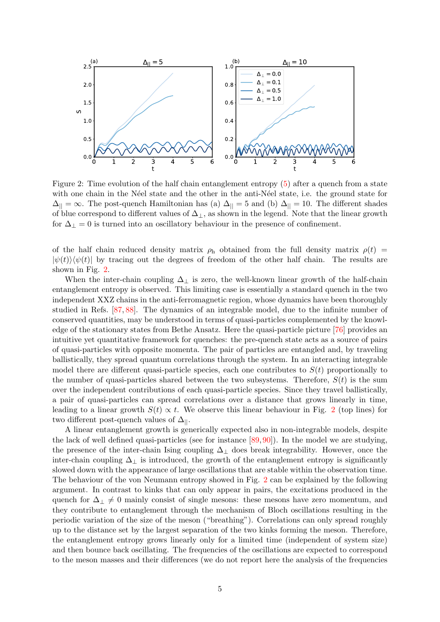<span id="page-4-0"></span>

Figure 2: Time evolution of the half chain entanglement entropy [\(5\)](#page-3-3) after a quench from a state with one chain in the N'eel state and the other in the anti-N'eel state, i.e. the ground state for  $\Delta_{\parallel} = \infty$ . The post-quench Hamiltonian has (a)  $\Delta_{\parallel} = 5$  and (b)  $\Delta_{\parallel} = 10$ . The different shades of blue correspond to different values of  $\Delta_{\perp}$ , as shown in the legend. Note that the linear growth for  $\Delta_{\perp} = 0$  is turned into an oscillatory behaviour in the presence of confinement.

of the half chain reduced density matrix  $\rho_h$  obtained from the full density matrix  $\rho(t)$  =  $|\psi(t)\rangle\langle\psi(t)|$  by tracing out the degrees of freedom of the other half chain. The results are shown in Fig. [2.](#page-4-0)

When the inter-chain coupling  $\Delta_{\perp}$  is zero, the well-known linear growth of the half-chain entanglement entropy is observed. This limiting case is essentially a standard quench in the two independent XXZ chains in the anti-ferromagnetic region, whose dynamics have been thoroughly studied in Refs. [\[87,](#page-14-8) [88\]](#page-14-9). The dynamics of an integrable model, due to the infinite number of conserved quantities, may be understood in terms of quasi-particles complemented by the knowledge of the stationary states from Bethe Ansatz. Here the quasi-particle picture [\[76\]](#page-14-1) provides an intuitive yet quantitative framework for quenches: the pre-quench state acts as a source of pairs of quasi-particles with opposite momenta. The pair of particles are entangled and, by traveling ballistically, they spread quantum correlations through the system. In an interacting integrable model there are different quasi-particle species, each one contributes to  $S(t)$  proportionally to the number of quasi-particles shared between the two subsystems. Therefore,  $S(t)$  is the sum over the independent contributions of each quasi-particle species. Since they travel ballistically, a pair of quasi-particles can spread correlations over a distance that grows linearly in time, leading to a linear growth  $S(t) \propto t$ . We observe this linear behaviour in Fig. [2](#page-4-0) (top lines) for two different post-quench values of  $\Delta_{||}$ .

A linear entanglement growth is generically expected also in non-integrable models, despite the lack of well defined quasi-particles (see for instance  $[89, 90]$  $[89, 90]$  $[89, 90]$ ). In the model we are studying, the presence of the inter-chain Ising coupling  $\Delta_{\perp}$  does break integrability. However, once the inter-chain coupling  $\Delta_{\perp}$  is introduced, the growth of the entanglement entropy is significantly slowed down with the appearance of large oscillations that are stable within the observation time. The behaviour of the von Neumann entropy showed in Fig. [2](#page-4-0) can be explained by the following argument. In contrast to kinks that can only appear in pairs, the excitations produced in the quench for  $\Delta_{\perp} \neq 0$  mainly consist of single mesons: these mesons have zero momentum, and they contribute to entanglement through the mechanism of Bloch oscillations resulting in the periodic variation of the size of the meson ("breathing"). Correlations can only spread roughly up to the distance set by the largest separation of the two kinks forming the meson. Therefore, the entanglement entropy grows linearly only for a limited time (independent of system size) and then bounce back oscillating. The frequencies of the oscillations are expected to correspond to the meson masses and their differences (we do not report here the analysis of the frequencies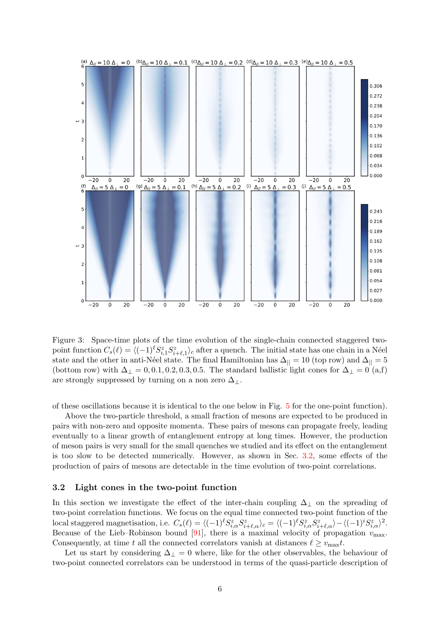<span id="page-5-1"></span>

Figure 3: Space-time plots of the time evolution of the single-chain connected staggered twopoint function  $C_s(\ell) = \langle (-1)^\ell S_{i,1}^z S_{i+\ell,1}^z \rangle_c$  after a quench. The initial state has one chain in a Néel state and the other in anti-Néel state. The final Hamiltonian has  $\Delta_{\parallel} = 10$  (top row) and  $\Delta_{\parallel} = 5$ (bottom row) with  $\Delta_{\perp} = 0, 0.1, 0.2, 0.3, 0.5$ . The standard ballistic light cones for  $\Delta_{\perp} = 0$  (a,f) are strongly suppressed by turning on a non zero  $\Delta_{\perp}$ .

of these oscillations because it is identical to the one below in Fig. [5](#page-8-0) for the one-point function).

Above the two-particle threshold, a small fraction of mesons are expected to be produced in pairs with non-zero and opposite momenta. These pairs of mesons can propagate freely, leading eventually to a linear growth of entanglement entropy at long times. However, the production of meson pairs is very small for the small quenches we studied and its effect on the entanglement is too slow to be detected numerically. However, as shown in Sec. [3.2,](#page-5-0) some effects of the production of pairs of mesons are detectable in the time evolution of two-point correlations.

#### <span id="page-5-0"></span>3.2 Light cones in the two-point function

In this section we investigate the effect of the inter-chain coupling  $\Delta_{\perp}$  on the spreading of two-point correlation functions. We focus on the equal time connected two-point function of the local staggered magnetisation, i.e.  $C_s(\ell) = \langle (-1)^\ell S_{i,\alpha}^z S_{i+\ell,\alpha}^z \rangle_c = \langle (-1)^\ell S_{i,\alpha}^z S_{i+\ell,\alpha}^z \rangle - \langle (-1)^\ell S_{i,\alpha}^z \rangle^2$ . Because of the Lieb–Robinson bound [\[91\]](#page-14-12), there is a maximal velocity of propagation  $v_{\text{max}}$ . Consequently, at time t all the connected correlators vanish at distances  $\ell \geq v_{\text{max}}t$ .

Let us start by considering  $\Delta_{\perp} = 0$  where, like for the other observables, the behaviour of two-point connected correlators can be understood in terms of the quasi-particle description of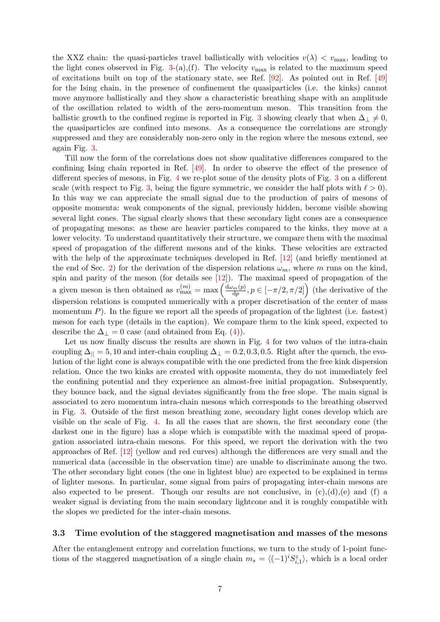the XXZ chain: the quasi-particles travel ballistically with velocities  $v(\lambda) < v_{\text{max}}$ , leading to the light cones observed in Fig. [3-](#page-5-1)(a),(f). The velocity  $v_{\text{max}}$  is related to the maximum speed of excitations built on top of the stationary state, see Ref. [\[92\]](#page-14-13). As pointed out in Ref. [\[49\]](#page-12-2) for the Ising chain, in the presence of confinement the quasiparticles (i.e. the kinks) cannot move anymore ballistically and they show a characteristic breathing shape with an amplitude of the oscillation related to width of the zero-momentum meson. This transition from the ballistic growth to the confined regime is reported in Fig. [3](#page-5-1) showing clearly that when  $\Delta_{\perp} \neq 0$ , the quasiparticles are confined into mesons. As a consequence the correlations are strongly suppressed and they are considerably non-zero only in the region where the mesons extend, see again Fig. [3.](#page-5-1)

Till now the form of the correlations does not show qualitative differences compared to the confining Ising chain reported in Ref. [\[49\]](#page-12-2). In order to observe the effect of the presence of different species of mesons, in Fig. [4](#page-7-0) we re-plot some of the density plots of Fig. [3](#page-5-1) on a different scale (with respect to Fig. [3,](#page-5-1) being the figure symmetric, we consider the half plots with  $\ell > 0$ ). In this way we can appreciate the small signal due to the production of pairs of mesons of opposite momenta: weak components of the signal, previously hidden, become visible showing several light cones. The signal clearly shows that these secondary light cones are a consequence of propagating mesons: as these are heavier particles compared to the kinks, they move at a lower velocity. To understand quantitatively their structure, we compare them with the maximal speed of propagation of the different mesons and of the kinks. These velocities are extracted with the help of the approximate techniques developed in Ref. [\[12\]](#page-10-10) (and briefly mentioned at the end of Sec. [2\)](#page-1-0) for the derivation of the dispersion relations  $\omega_m$ , where m runs on the kind, spin and parity of the meson (for details see [\[12\]](#page-10-10)). The maximal speed of propagation of the a given meson is then obtained as  $v_{\text{max}}^{(m)} = \max \left( \frac{d \omega_m(p)}{dp} \right)$  $\frac{d_{m}(p)}{dp}, p \in [-\pi/2, \pi/2]$  (the derivative of the dispersion relations is computed numerically with a proper discretisation of the center of mass momentum  $P$ ). In the figure we report all the speeds of propagation of the lightest (i.e. fastest) meson for each type (details in the caption). We compare them to the kink speed, expected to describe the  $\Delta_{\perp} = 0$  case (and obtained from Eq. [\(4\)](#page-2-0)).

Let us now finally discuss the results are shown in Fig. [4](#page-7-0) for two values of the intra-chain coupling  $\Delta_{\parallel} = 5, 10$  and inter-chain coupling  $\Delta_{\perp} = 0.2, 0.3, 0.5$ . Right after the quench, the evolution of the light cone is always compatible with the one predicted from the free kink dispersion relation. Once the two kinks are created with opposite momenta, they do not immediately feel the confining potential and they experience an almost-free initial propagation. Subsequently, they bounce back, and the signal deviates significantly from the free slope. The main signal is associated to zero momentum intra-chain mesons which corresponds to the breathing observed in Fig. [3.](#page-5-1) Outside of the first meson breathing zone, secondary light cones develop which are visible on the scale of Fig. [4.](#page-7-0) In all the cases that are shown, the first secondary cone (the darkest one in the figure) has a slope which is compatible with the maximal speed of propagation associated intra-chain mesons. For this speed, we report the derivation with the two approaches of Ref. [\[12\]](#page-10-10) (yellow and red curves) although the differences are very small and the numerical data (accessible in the observation time) are unable to discriminate among the two. The other secondary light cones (the one in lightest blue) are expected to be explained in terms of lighter mesons. In particular, some signal from pairs of propagating inter-chain mesons are also expected to be present. Though our results are not conclusive, in  $(c),(d),(e)$  and  $(f)$  a weaker signal is deviating from the main secondary lightcone and it is roughly compatible with the slopes we predicted for the inter-chain mesons.

#### <span id="page-6-0"></span>3.3 Time evolution of the staggered magnetisation and masses of the mesons

After the entanglement entropy and correlation functions, we turn to the study of 1-point functions of the staggered magnetisation of a single chain  $m_s = \langle (-1)^i S_{i,1}^z \rangle$ , which is a local order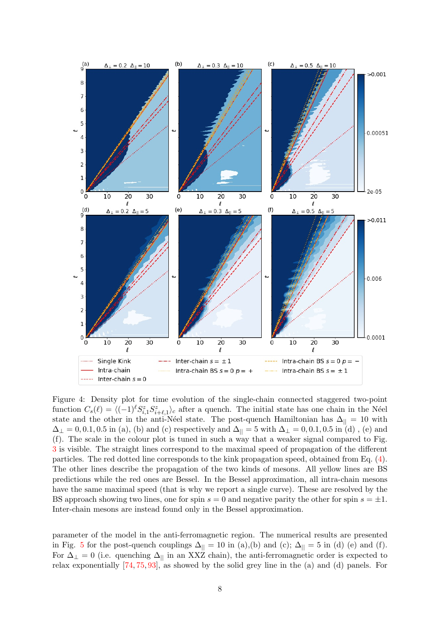<span id="page-7-0"></span>

Figure 4: Density plot for time evolution of the single-chain connected staggered two-point function  $C_s(\ell) = \langle (-1)^\ell S_{i,1}^z S_{i+\ell,1}^z \rangle_c$  after a quench. The initial state has one chain in the Néel state and the other in the anti-Néel state. The post-quench Hamiltonian has  $\Delta_{||} = 10$  with  $\Delta_{\perp} = 0, 0.1, 0.5$  in (a), (b) and (c) respectively and  $\Delta_{||} = 5$  with  $\Delta_{\perp} = 0, 0.1, 0.5$  in (d), (e) and (f). The scale in the colour plot is tuned in such a way that a weaker signal compared to Fig. [3](#page-5-1) is visible. The straight lines correspond to the maximal speed of propagation of the different particles. The red dotted line corresponds to the kink propagation speed, obtained from Eq. [\(4\)](#page-2-0). The other lines describe the propagation of the two kinds of mesons. All yellow lines are BS predictions while the red ones are Bessel. In the Bessel approximation, all intra-chain mesons have the same maximal speed (that is why we report a single curve). These are resolved by the BS approach showing two lines, one for spin  $s = 0$  and negative parity the other for spin  $s = \pm 1$ . Inter-chain mesons are instead found only in the Bessel approximation.

parameter of the model in the anti-ferromagnetic region. The numerical results are presented in Fig. [5](#page-8-0) for the post-quench couplings  $\Delta_{\parallel} = 10$  in (a),(b) and (c);  $\Delta_{\parallel} = 5$  in (d) (e) and (f). For  $\Delta_{\perp} = 0$  (i.e. quenching  $\Delta_{\parallel}$  in an XXZ chain), the anti-ferromagnetic order is expected to relax exponentially [\[74,](#page-13-5) [75,](#page-14-0) [93\]](#page-15-0), as showed by the solid grey line in the (a) and (d) panels. For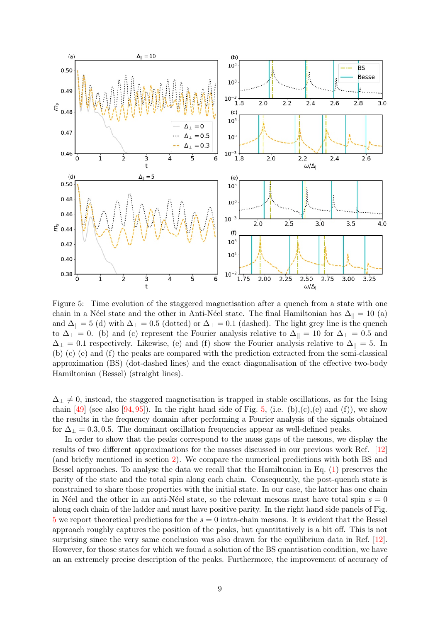<span id="page-8-0"></span>

Figure 5: Time evolution of the staggered magnetisation after a quench from a state with one chain in a Néel state and the other in Anti-Néel state. The final Hamiltonian has  $\Delta_{\parallel} = 10$  (a) and  $\Delta_{\parallel} = 5$  (d) with  $\Delta_{\perp} = 0.5$  (dotted) or  $\Delta_{\perp} = 0.1$  (dashed). The light grey line is the quench to  $\Delta_{\perp} = 0$ . (b) and (c) represent the Fourier analysis relative to  $\Delta_{\parallel} = 10$  for  $\Delta_{\perp} = 0.5$  and  $\Delta_{\perp} = 0.1$  respectively. Likewise, (e) and (f) show the Fourier analysis relative to  $\Delta_{\parallel} = 5$ . In (b) (c) (e) and (f) the peaks are compared with the prediction extracted from the semi-classical approximation (BS) (dot-dashed lines) and the exact diagonalisation of the effective two-body Hamiltonian (Bessel) (straight lines).

 $\Delta_{\perp} \neq 0$ , instead, the staggered magnetisation is trapped in stable oscillations, as for the Ising chain [\[49\]](#page-12-2) (see also [\[94,](#page-15-1) [95\]](#page-15-2)). In the right hand side of Fig. [5,](#page-8-0) (i.e. (b),(c),(e) and (f)), we show the results in the frequency domain after performing a Fourier analysis of the signals obtained for  $\Delta_{\perp} = 0.3, 0.5$ . The dominant oscillation frequencies appear as well-defined peaks.

In order to show that the peaks correspond to the mass gaps of the mesons, we display the results of two different approximations for the masses discussed in our previous work Ref. [\[12\]](#page-10-10) (and briefly mentioned in section [2\)](#page-1-0). We compare the numerical predictions with both BS and Bessel approaches. To analyse the data we recall that the Hamiltonian in Eq. [\(1\)](#page-1-1) preserves the parity of the state and the total spin along each chain. Consequently, the post-quench state is constrained to share those properties with the initial state. In our case, the latter has one chain in N'eel and the other in an anti-N'eel state, so the relevant mesons must have total spin  $s = 0$ along each chain of the ladder and must have positive parity. In the right hand side panels of Fig.  $5$  we report theoretical predictions for the  $s = 0$  intra-chain mesons. It is evident that the Bessel approach roughly captures the position of the peaks, but quantitatively is a bit off. This is not surprising since the very same conclusion was also drawn for the equilibrium data in Ref. [\[12\]](#page-10-10). However, for those states for which we found a solution of the BS quantisation condition, we have an an extremely precise description of the peaks. Furthermore, the improvement of accuracy of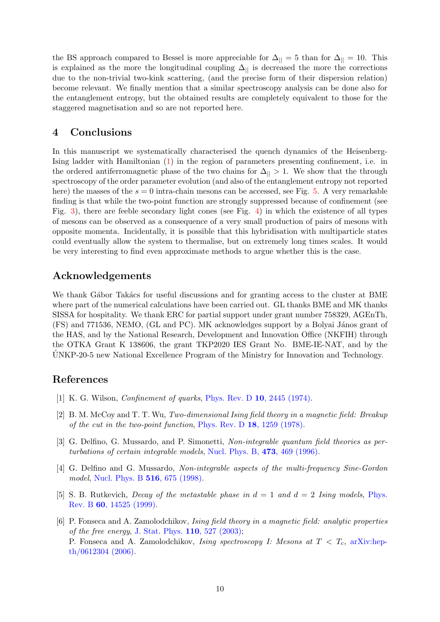the BS approach compared to Bessel is more appreciable for  $\Delta_{\parallel} = 5$  than for  $\Delta_{\parallel} = 10$ . This is explained as the more the longitudinal coupling  $\Delta_{\parallel}$  is decreased the more the corrections due to the non-trivial two-kink scattering, (and the precise form of their dispersion relation) become relevant. We finally mention that a similar spectroscopy analysis can be done also for the entanglement entropy, but the obtained results are completely equivalent to those for the staggered magnetisation and so are not reported here.

### <span id="page-9-3"></span>4 Conclusions

In this manuscript we systematically characterised the quench dynamics of the Heisenberg-Ising ladder with Hamiltonian [\(1\)](#page-1-1) in the region of parameters presenting confinement, i.e. in the ordered antiferromagnetic phase of the two chains for  $\Delta_{\parallel} > 1$ . We show that the through spectroscopy of the order parameter evolution (and also of the entanglement entropy not reported here) the masses of the  $s = 0$  intra-chain mesons can be accessed, see Fig. [5.](#page-8-0) A very remarkable finding is that while the two-point function are strongly suppressed because of confinement (see Fig. [3\)](#page-5-1), there are feeble secondary light cones (see Fig. [4\)](#page-7-0) in which the existence of all types of mesons can be observed as a consequence of a very small production of pairs of mesons with opposite momenta. Incidentally, it is possible that this hybridisation with multiparticle states could eventually allow the system to thermalise, but on extremely long times scales. It would be very interesting to find even approximate methods to argue whether this is the case.

# Acknowledgements

We thank Gábor Takács for useful discussions and for granting access to the cluster at BME where part of the numerical calculations have been carried out. GL thanks BME and MK thanks SISSA for hospitality. We thank ERC for partial support under grant number 758329, AGEnTh,  $(FS)$  and  $771536$ , NEMO,  $(GL and PC)$ . MK acknowledges support by a Bolyai János grant of the HAS, and by the National Research, Development and Innovation Office (NKFIH) through the OTKA Grant K 138606, the grant TKP2020 IES Grant No. BME-IE-NAT, and by the UNKP-20-5 new National Excellence Program of the Ministry for Innovation and Technology. ´

# References

- <span id="page-9-0"></span>[1] K. G. Wilson, Confinement of quarks, [Phys. Rev. D](http://dx.doi.org/10.1103/PhysRevD.10.2445) 10, 2445 (1974).
- <span id="page-9-1"></span>[2] B. M. McCoy and T. T. Wu, Two-dimensional Ising field theory in a magnetic field: Breakup of the cut in the two-point function, Phys. Rev. D 18[, 1259 \(1978\).](https://doi.org/10.1103/PhysRevD.18.1259)
- <span id="page-9-2"></span>[3] G. Delfino, G. Mussardo, and P. Simonetti, Non-integrable quantum field theories as perturbations of certain integrable models, [Nucl. Phys. B,](https://doi.org/10.1016/0550-3213(96)00265-9) 473, 469 (1996).
- [4] G. Delfino and G. Mussardo, Non-integrable aspects of the multi-frequency Sine-Gordon model, [Nucl. Phys. B](https://doi.org/10.1016/S0550-3213(98)00063-7) **516**, 675 (1998).
- [5] S. B. Rutkevich, *Decay of the metastable phase in*  $d = 1$  *and*  $d = 2$  *Ising models, [Phys.](https://doi.org/10.1103/PhysRevB.60.14525)* Rev. B 60[, 14525 \(1999\).](https://doi.org/10.1103/PhysRevB.60.14525)
- [6] P. Fonseca and A. Zamolodchikov, Ising field theory in a magnetic field: analytic properties of the free energy, [J. Stat. Phys.](https://doi.org/10.1023/A:1022147532606)  $110$ ,  $527$   $(2003)$ ; P. Fonseca and A. Zamolodchikov, Ising spectroscopy I: Mesons at  $T < T_c$ , [arXiv:hep](arXiv:hep-th/0612304)[th/0612304 \(2006\).](arXiv:hep-th/0612304)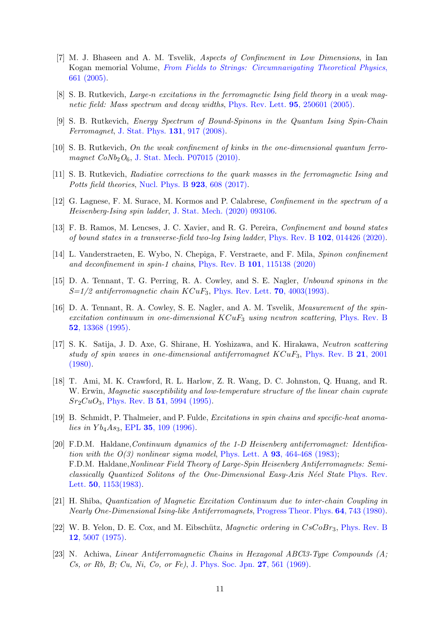- <span id="page-10-9"></span>[7] M. J. Bhaseen and A. M. Tsvelik, Aspects of Confinement in Low Dimensions, in Ian Kogan memorial Volume, [From Fields to Strings: Circumnavigating Theoretical Physics](https://doi.org/10.1142/9789812775344_0019), [661 \(2005\).](https://doi.org/10.1142/9789812775344_0019)
- [8] S. B. Rutkevich, Large-n excitations in the ferromagnetic Ising field theory in a weak mag-netic field: Mass spectrum and decay widths, [Phys. Rev. Lett.](https://doi.org/10.1103/PhysRevLett.95.250601) **95**, 250601 (2005).
- [9] S. B. Rutkevich, Energy Spectrum of Bound-Spinons in the Quantum Ising Spin-Chain Ferromagnet, [J. Stat. Phys.](https://doi.org/10.1007/s10955-008-9495-1) 131, 917 (2008).
- [10] S. B. Rutkevich, On the weak confinement of kinks in the one-dimensional quantum ferromagnet  $CoNb<sub>2</sub>O<sub>6</sub>$ , [J. Stat. Mech. P07015 \(2010\).](https://doi.org/10.1088/1742-5468/2010/07/P07015)
- [11] S. B. Rutkevich, Radiative corrections to the quark masses in the ferromagnetic Ising and Potts field theories, [Nucl. Phys. B](https://doi.org/10.1016/j.nuclphysb.2017.08.009) **923**, 608 (2017).
- <span id="page-10-10"></span>[12] G. Lagnese, F. M. Surace, M. Kormos and P. Calabrese, Confinement in the spectrum of a Heisenberg-Ising spin ladder, [J. Stat. Mech. \(2020\) 093106.](https://doi.org/10.1088/1742-5468/abb368)
- [13] F. B. Ramos, M. Lencses, J. C. Xavier, and R. G. Pereira, Confinement and bound states of bound states in a transverse-field two-leg Ising ladder, Phys. Rev. B 102[, 014426 \(2020\).](https://doi.org/10.1103/PhysRevB.102.014426)
- <span id="page-10-0"></span>[14] L. Vanderstraeten, E. Wybo, N. Chepiga, F. Verstraete, and F. Mila, Spinon confinement and deconfinement in spin-1 chains, Phys. Rev. B 101[, 115138 \(2020\)](https://doi.org/10.1103/PhysRevB.101.115138)
- <span id="page-10-1"></span>[15] D. A. Tennant, T. G. Perring, R. A. Cowley, and S. E. Nagler, Unbound spinons in the  $S=1/2$  antiferromagnetic chain  $KCuF_3$ , [Phys. Rev. Lett.](https://doi.org/10.1103/PhysRevLett.70.4003) **70**, 4003(1993).
- [16] D. A. Tennant, R. A. Cowley, S. E. Nagler, and A. M. Tsvelik, Measurement of the spinexcitation continuum in one-dimensional  $KCuF_3$  using neutron scattering, [Phys. Rev. B](https://doi.org/10.1103/PhysRevB.52.13368) 52[, 13368 \(1995\).](https://doi.org/10.1103/PhysRevB.52.13368)
- <span id="page-10-2"></span>[17] S. K. Satija, J. D. Axe, G. Shirane, H. Yoshizawa, and K. Hirakawa, Neutron scattering study of spin waves in one-dimensional antiferromagnet  $KCuF_3$ , [Phys. Rev. B](https://doi.org/10.1103/PhysRevB.21.2001) 21, 2001 [\(1980\).](https://doi.org/10.1103/PhysRevB.21.2001)
- <span id="page-10-3"></span>[18] T. Ami, M. K. Crawford, R. L. Harlow, Z. R. Wang, D. C. Johnston, Q. Huang, and R. W. Erwin, Magnetic susceptibility and low-temperature structure of the linear chain cuprate  $Sr<sub>2</sub>CuO<sub>3</sub>$ , Phys. Rev. B 51[, 5994 \(1995\).](https://doi.org/10.1103/PhysRevB.51.5994)
- <span id="page-10-4"></span>[19] B. Schmidt, P. Thalmeier, and P. Fulde, Excitations in spin chains and specific-heat anomalies in  $Yb_4As_3$ , EPL 35[, 109 \(1996\).](https://doi.org/10.1209/epl/i1996-00540-7)
- <span id="page-10-5"></span>[20] F.D.M. Haldane, Continuum dynamics of the 1-D Heisenberg antiferromagnet: Identification with the  $O(3)$  nonlinear sigma model, Phys. Lett. A **93**[, 464-468 \(1983\);](https://doi.org/10.1016/0375-9601(83)90631-X) F.D.M. Haldane,Nonlinear Field Theory of Large-Spin Heisenberg Antiferromagnets: Semi-classically Quantized Solitons of the One-Dimensional Easy-Axis Néel State [Phys. Rev.](https://doi.org/10.1103/PhysRevLett.50.1153) Lett. 50[, 1153\(1983\).](https://doi.org/10.1103/PhysRevLett.50.1153)
- <span id="page-10-6"></span>[21] H. Shiba, Quantization of Magnetic Excitation Continuum due to inter-chain Coupling in Nearly One-Dimensional Ising-like Antiferromagnets, [Progress Theor. Phys.](https://doi.org/10.1143/PTP.64.466) 64, 743 (1980).
- <span id="page-10-7"></span>[22] W. B. Yelon, D. E. Cox, and M. Eibschütz, *Magnetic ordering in CsCoBr*<sub>3</sub>, [Phys. Rev. B](https://doi.org/10.1103/PhysRevB.12.5007) 12[, 5007 \(1975\).](https://doi.org/10.1103/PhysRevB.12.5007)
- <span id="page-10-8"></span>[23] N. Achiwa, Linear Antiferromagnetic Chains in Hexagonal ABCl3-Type Compounds (A; Cs, or Rb, B; Cu, Ni, Co, or Fe), [J. Phys. Soc. Jpn.](https://doi.org/10.1143/JPSJ.27.561) 27, 561 (1969).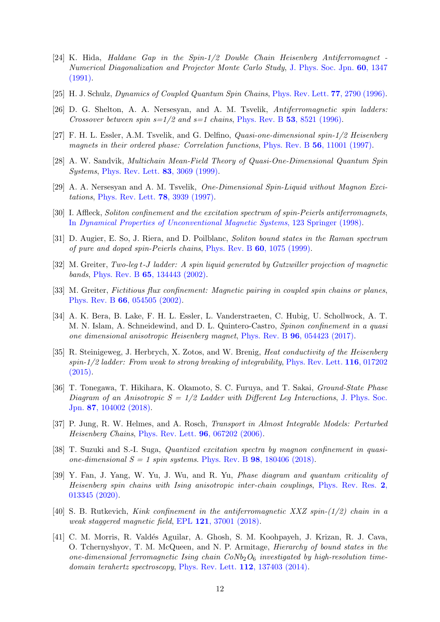- <span id="page-11-0"></span>[24] K. Hida, Haldane Gap in the Spin-1/2 Double Chain Heisenberg Antiferromagnet - Numerical Diagonalization and Projector Monte Carlo Study, [J. Phys. Soc. Jpn.](https://doi.org/10.1143/JPSJ.60.1347) 60, 1347 [\(1991\).](https://doi.org/10.1143/JPSJ.60.1347)
- [25] H. J. Schulz, Dynamics of Coupled Quantum Spin Chains, [Phys. Rev. Lett.](https://doi.org/10.1103/PhysRevLett.77.2790) 77, 2790 (1996).
- [26] D. G. Shelton, A. A. Nersesyan, and A. M. Tsvelik, Antiferromagnetic spin ladders: Crossover between spin  $s=1/2$  and  $s=1$  chains, Phys. Rev. B 53[, 8521 \(1996\).](https://doi.org/10.1103/PhysRevB.53.8521)
- [27] F. H. L. Essler, A.M. Tsvelik, and G. Delfino, Quasi-one-dimensional spin-1/2 Heisenberg magnets in their ordered phase: Correlation functions, Phys. Rev. B 56[, 11001 \(1997\).](https://doi.org/10.1103/PhysRevB.56.11001)
- [28] A. W. Sandvik, Multichain Mean-Field Theory of Quasi-One-Dimensional Quantum Spin Systems, [Phys. Rev. Lett.](https://doi.org/10.1103/PhysRevLett.83.3069) 83, 3069 (1999).
- [29] A. A. Nersesyan and A. M. Tsvelik, One-Dimensional Spin-Liquid without Magnon Excitations, [Phys. Rev. Lett.](https://doi.org/10.1103/PhysRevLett.78.3939) 78, 3939 (1997).
- [30] I. Affleck, Soliton confinement and the excitation spectrum of spin-Peierls antiferromagnets, In [Dynamical Properties of Unconventional Magnetic Systems](arXiv:cond-mat/9705127), 123 Springer (1998).
- [31] D. Augier, E. So, J. Riera, and D. Poilblanc, Soliton bound states in the Raman spectrum of pure and doped spin-Peierls chains, Phys. Rev. B 60[, 1075 \(1999\).](https://doi.org/10.1103/PhysRevB.60.1075)
- [32] M. Greiter, Two-leg t-J ladder: A spin liquid generated by Gutzwiller projection of magnetic bands, Phys. Rev. B 65[, 134443 \(2002\).](https://doi.org/10.1103/PhysRevB.65.134443)
- [33] M. Greiter, Fictitious flux confinement: Magnetic pairing in coupled spin chains or planes, Phys. Rev. B 66[, 054505 \(2002\).](https://doi.org/10.1103/PhysRevB.66.054505)
- [34] A. K. Bera, B. Lake, F. H. L. Essler, L. Vanderstraeten, C. Hubig, U. Schollwock, A. T. M. N. Islam, A. Schneidewind, and D. L. Quintero-Castro, Spinon confinement in a quasi one dimensional anisotropic Heisenberg magnet, Phys. Rev. B 96[, 054423 \(2017\).](https://doi.org/10.1103/PhysRevB.96.054423)
- [35] R. Steinigeweg, J. Herbrych, X. Zotos, and W. Brenig, *Heat conductivity of the Heisenberg*  $spin-1/2$  ladder: From weak to strong breaking of integrability, [Phys. Rev. Lett.](https://doi.org/10.1103/PhysRevLett.116.017202) **116**, 017202 [\(2015\).](https://doi.org/10.1103/PhysRevLett.116.017202)
- [36] T. Tonegawa, T. Hikihara, K. Okamoto, S. C. Furuya, and T. Sakai, Ground-State Phase Diagram of an Anisotropic  $S = 1/2$  Ladder with Different Leg Interactions, [J. Phys. Soc.](https://doi.org/10.7566/JPSJ.87.104002) Jpn. 87[, 104002 \(2018\).](https://doi.org/10.7566/JPSJ.87.104002)
- [37] P. Jung, R. W. Helmes, and A. Rosch, Transport in Almost Integrable Models: Perturbed Heisenberg Chains, [Phys. Rev. Lett.](https://doi.org/10.1103/PhysRevLett.96.067202) 96, 067202 (2006).
- [38] T. Suzuki and S.-I. Suga, Quantized excitation spectra by magnon confinement in quasione-dimensional  $S = 1$  spin systems. Phys. Rev. B 98[, 180406 \(2018\).](https://doi.org/10.1103/PhysRevB.98.180406)
- [39] Y. Fan, J. Yang, W. Yu, J. Wu, and R. Yu, Phase diagram and quantum criticality of Heisenberg spin chains with Ising anisotropic inter-chain couplings, [Phys. Rev. Res.](https://doi.org/10.1103/PhysRevResearch.2.013345) 2, [013345 \(2020\).](https://doi.org/10.1103/PhysRevResearch.2.013345)
- <span id="page-11-1"></span>[40] S. B. Rutkevich, Kink confinement in the antiferromagnetic XXZ spin-(1/2) chain in a weak staggered magnetic field, EPL 121[, 37001 \(2018\).](https://doi.org/10.1209/0295-5075/121/37001)
- <span id="page-11-2"></span>[41] C. M. Morris, R. Valdés Aguilar, A. Ghosh, S. M. Koohpayeh, J. Krizan, R. J. Cava, O. Tchernyshyov, T. M. McQueen, and N. P. Armitage, Hierarchy of bound states in the one-dimensional ferromagnetic Ising chain  $CoNb<sub>2</sub>O<sub>6</sub>$  investigated by high-resolution time-domain terahertz spectroscopy, [Phys. Rev. Lett.](https://doi.org/10.1103/PhysRevLett.112.137403) 112, 137403 (2014).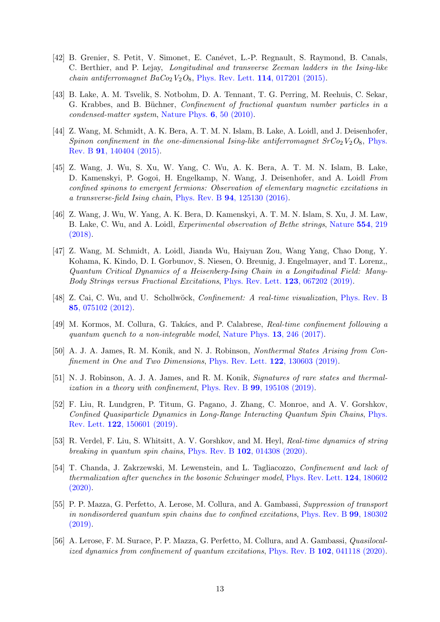- [42] B. Grenier, S. Petit, V. Simonet, E. Can´evet, L.-P. Regnault, S. Raymond, B. Canals, C. Berthier, and P. Lejay, Longitudinal and transverse Zeeman ladders in the Ising-like chain antiferromagnet  $BaCo<sub>2</sub>V<sub>2</sub>O<sub>8</sub>$ , [Phys. Rev. Lett.](https://doi.org/10.1103/PhysRevLett.114.017201) 114, 017201 (2015).
- [43] B. Lake, A. M. Tsvelik, S. Notbohm, D. A. Tennant, T. G. Perring, M. Reehuis, C. Sekar, G. Krabbes, and B. Büchner, *Confinement of fractional quantum number particles in a* condensed-matter system, [Nature Phys.](https://doi.org/10.1038/NPHYS1462) 6, 50 (2010).
- [44] Z. Wang, M. Schmidt, A. K. Bera, A. T. M. N. Islam, B. Lake, A. Loidl, and J. Deisenhofer, Spinon confinement in the one-dimensional Ising-like antiferromagnet  $SrCo<sub>2</sub>V<sub>2</sub>O<sub>8</sub>$ , [Phys.](https://doi.org/10.1103/PhysRevB.91.140404) Rev. B 91[, 140404 \(2015\).](https://doi.org/10.1103/PhysRevB.91.140404)
- [45] Z. Wang, J. Wu, S. Xu, W. Yang, C. Wu, A. K. Bera, A. T. M. N. Islam, B. Lake, D. Kamenskyi, P. Gogoi, H. Engelkamp, N. Wang, J. Deisenhofer, and A. Loidl From confined spinons to emergent fermions: Observation of elementary magnetic excitations in a transverse-field Ising chain, Phys. Rev. B 94[, 125130 \(2016\).](https://doi.org/10.1103/PhysRevB.94.125130)
- [46] Z. Wang, J. Wu, W. Yang, A. K. Bera, D. Kamenskyi, A. T. M. N. Islam, S. Xu, J. M. Law, B. Lake, C. Wu, and A. Loidl, Experimental observation of Bethe strings, [Nature](https://doi.org/10.1038/nature25466) 554, 219 [\(2018\).](https://doi.org/10.1038/nature25466)
- <span id="page-12-0"></span>[47] Z. Wang, M. Schmidt, A. Loidl, Jianda Wu, Haiyuan Zou, Wang Yang, Chao Dong, Y. Kohama, K. Kindo, D. I. Gorbunov, S. Niesen, O. Breunig, J. Engelmayer, and T. Lorenz,, Quantum Critical Dynamics of a Heisenberg-Ising Chain in a Longitudinal Field: Many-Body Strings versus Fractional Excitations, [Phys. Rev. Lett.](https://doi.org/10.1103/PhysRevLett.123.067202) 123, 067202 (2019).
- <span id="page-12-1"></span>[48] Z. Cai, C. Wu, and U. Schollwöck, *Confinement: A real-time visualization*, [Phys. Rev. B](https://doi.org/10.1103/PhysRevB.85.075102) 85[, 075102 \(2012\).](https://doi.org/10.1103/PhysRevB.85.075102)
- <span id="page-12-2"></span>[49] M. Kormos, M. Collura, G. Takács, and P. Calabrese, Real-time confinement following a quantum quench to a non-integrable model, [Nature Phys.](https://doi.org/10.1038/nphys3934) 13, 246 (2017).
- <span id="page-12-3"></span>[50] A. J. A. James, R. M. Konik, and N. J. Robinson, Nonthermal States Arising from Con-finement in One and Two Dimensions, [Phys. Rev. Lett.](https://doi.org/10.1103/PhysRevLett.122.130603) **122**, 130603 (2019).
- <span id="page-12-5"></span>[51] N. J. Robinson, A. J. A. James, and R. M. Konik, Signatures of rare states and thermalization in a theory with confinement, Phys. Rev. B 99[, 195108 \(2019\).](https://doi.org/10.1103/PhysRevB.99.195108)
- [52] F. Liu, R. Lundgren, P. Titum, G. Pagano, J. Zhang, C. Monroe, and A. V. Gorshkov, Confined Quasiparticle Dynamics in Long-Range Interacting Quantum Spin Chains, [Phys.](https://doi.org/10.1103/PhysRevLett.122.150601) Rev. Lett. 122[, 150601 \(2019\).](https://doi.org/10.1103/PhysRevLett.122.150601)
- [53] R. Verdel, F. Liu, S. Whitsitt, A. V. Gorshkov, and M. Heyl, Real-time dynamics of string breaking in quantum spin chains, Phys. Rev. B 102[, 014308 \(2020\).](https://doi.org/10.1103/PhysRevB.102.014308)
- <span id="page-12-4"></span>[54] T. Chanda, J. Zakrzewski, M. Lewenstein, and L. Tagliacozzo, Confinement and lack of thermalization after quenches in the bosonic Schwinger model, [Phys. Rev. Lett.](https://doi.org/10.1103/PhysRevLett.124.180602) 124, 180602 [\(2020\).](https://doi.org/10.1103/PhysRevLett.124.180602)
- <span id="page-12-6"></span>[55] P. P. Mazza, G. Perfetto, A. Lerose, M. Collura, and A. Gambassi, Suppression of transport in nondisordered quantum spin chains due to confined excitations, [Phys. Rev. B](https://doi.org/10.1103/PhysRevB.99.180302) 99, 180302 [\(2019\).](https://doi.org/10.1103/PhysRevB.99.180302)
- <span id="page-12-7"></span>[56] A. Lerose, F. M. Surace, P. P. Mazza, G. Perfetto, M. Collura, and A. Gambassi, Quasilocal-ized dynamics from confinement of quantum excitations, Phys. Rev. B 102[, 041118 \(2020\).](https://doi.org/10.1103/PhysRevB.102.041118)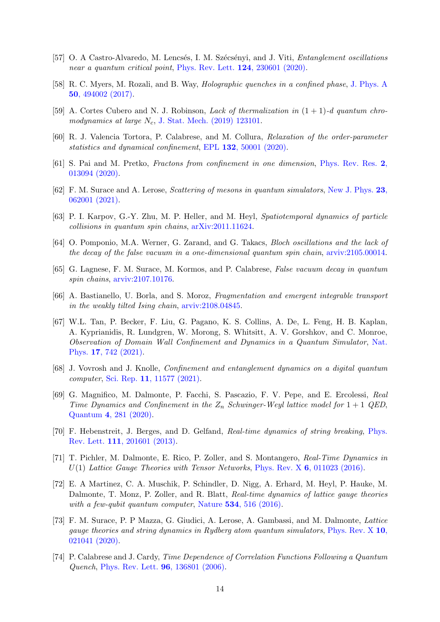- [57] O. A Castro-Alvaredo, M. Lencsés, I. M. Szécsényi, and J. Viti, *Entanglement oscillations* near a quantum critical point, [Phys. Rev. Lett.](https://doi.org/10.1103/PhysRevLett.124.230601) **124**, 230601 (2020).
- [58] R. C. Myers, M. Rozali, and B. Way, Holographic quenches in a confined phase, [J. Phys. A](https://doi.org/10.1088/1751-8121/aa927c) 50[, 494002 \(2017\).](https://doi.org/10.1088/1751-8121/aa927c)
- <span id="page-13-7"></span>[59] A. Cortes Cubero and N. J. Robinson, *Lack of thermalization in*  $(1 + 1)$ -*d quantum chro*modynamics at large  $N_c$ , [J. Stat. Mech. \(2019\) 123101.](https://doi.org/10.1088/1742-5468/ab4e8d)
- <span id="page-13-6"></span>[60] R. J. Valencia Tortora, P. Calabrese, and M. Collura, Relaxation of the order-parameter statistics and dynamical confinement, EPL 132[, 50001 \(2020\).](https://doi.org/10.1209/0295-5075/132/50001)
- <span id="page-13-8"></span>[61] S. Pai and M. Pretko, Fractons from confinement in one dimension, [Phys. Rev. Res.](https://doi.org/10.1103/PhysRevResearch.2.013094) 2, [013094 \(2020\).](https://doi.org/10.1103/PhysRevResearch.2.013094)
- [62] F. M. Surace and A. Lerose, Scattering of mesons in quantum simulators, [New J. Phys.](https://doi.org/10.1088/1367-2630/abfc40) 23, [062001 \(2021\).](https://doi.org/10.1088/1367-2630/abfc40)
- [63] P. I. Karpov, G.-Y. Zhu, M. P. Heller, and M. Heyl, Spatiotemporal dynamics of particle collisions in quantum spin chains, [arXiv:2011.11624.](https://arxiv.org/abs/2011.11624)
- [64] O. Pomponio, M.A. Werner, G. Zarand, and G. Takacs, Bloch oscillations and the lack of the decay of the false vacuum in a one-dimensional quantum spin chain, [arviv:2105.00014.](https://arxiv.org/abs/2105.00014)
- [65] G. Lagnese, F. M. Surace, M. Kormos, and P. Calabrese, False vacuum decay in quantum spin chains, [arviv:2107.10176.](https://arxiv.org/abs/2107.10176)
- <span id="page-13-0"></span>[66] A. Bastianello, U. Borla, and S. Moroz, Fragmentation and emergent integrable transport in the weakly tilted Ising chain, [arviv:2108.04845.](https://arxiv.org/abs/2108.04845)
- <span id="page-13-1"></span>[67] W.L. Tan, P. Becker, F. Liu, G. Pagano, K. S. Collins, A. De, L. Feng, H. B. Kaplan, A. Kyprianidis, R. Lundgren, W. Morong, S. Whitsitt, A. V. Gorshkov, and C. Monroe, Observation of Domain Wall Confinement and Dynamics in a Quantum Simulator, [Nat.](https://doi.org/10.1038/s41567-021-01194-3) Phys. 17[, 742 \(2021\).](https://doi.org/10.1038/s41567-021-01194-3)
- <span id="page-13-2"></span>[68] J. Vovrosh and J. Knolle, Confinement and entanglement dynamics on a digital quantum computer, Sci. Rep. 11[, 11577 \(2021\).](https://doi.org/10.1038/s41598-021-90849-5)
- <span id="page-13-3"></span>[69] G. Magnifico, M. Dalmonte, P. Facchi, S. Pascazio, F. V. Pepe, and E. Ercolessi, Real Time Dynamics and Confinement in the  $Z_n$  Schwinger-Weyl lattice model for  $1+1$  QED, Quantum 4[, 281 \(2020\).](https://doi.org/10.22331/q-2020-06-15-281)
- [70] F. Hebenstreit, J. Berges, and D. Gelfand, Real-time dynamics of string breaking, [Phys.](https://doi.org/10.1103/PhysRevLett.111.201601) Rev. Lett. 111[, 201601 \(2013\).](https://doi.org/10.1103/PhysRevLett.111.201601)
- [71] T. Pichler, M. Dalmonte, E. Rico, P. Zoller, and S. Montangero, Real-Time Dynamics in  $U(1)$  Lattice Gauge Theories with Tensor Networks, Phys. Rev. X 6[, 011023 \(2016\).](https://doi.org/10.1103/PhysRevX.6.011023)
- [72] E. A Martinez, C. A. Muschik, P. Schindler, D. Nigg, A. Erhard, M. Heyl, P. Hauke, M. Dalmonte, T. Monz, P. Zoller, and R. Blatt, Real-time dynamics of lattice gauge theories with a few-qubit quantum computer, Nature 534[, 516 \(2016\).](https://doi.org/10.1038/nature18318)
- <span id="page-13-4"></span>[73] F. M. Surace, P. P Mazza, G. Giudici, A. Lerose, A. Gambassi, and M. Dalmonte, Lattice gauge theories and string dynamics in Rydberg atom quantum simulators, [Phys. Rev. X](https://doi.org/10.1103/PhysRevX.10.021041) 10, [021041 \(2020\).](https://doi.org/10.1103/PhysRevX.10.021041)
- <span id="page-13-5"></span>[74] P. Calabrese and J. Cardy, Time Dependence of Correlation Functions Following a Quantum Quench, [Phys. Rev. Lett.](https://doi.org/10.1103/PhysRevLett.96.136801) 96, 136801 (2006).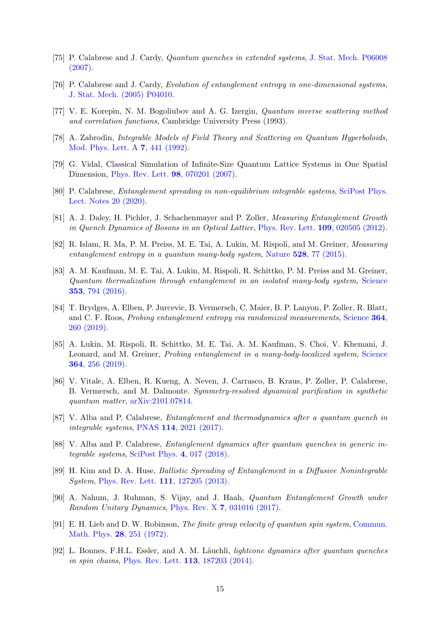- <span id="page-14-0"></span>[75] P. Calabrese and J. Cardy, Quantum quenches in extended systems, [J. Stat. Mech. P06008](https://doi.org/10.1088/1742-5468/2007/06/P06008) [\(2007\).](https://doi.org/10.1088/1742-5468/2007/06/P06008)
- <span id="page-14-1"></span>[76] P. Calabrese and J. Cardy, Evolution of entanglement entropy in one-dimensional systems, [J. Stat. Mech. \(2005\) P04010.](https://doi.org/10.1088/1742-5468/2005/04/P04010)
- <span id="page-14-2"></span>[77] V. E. Korepin, N. M. Bogoliubov and A. G. Izergin, Quantum inverse scattering method and correlation functions, Cambridge University Press (1993).
- <span id="page-14-3"></span>[78] A. Zabrodin, Integrable Models of Field Theory and Scattering on Quantum Hyperboloids, [Mod. Phys. Lett. A](https://doi.org/10.1142/S0217732392000392) 7, 441 (1992).
- <span id="page-14-4"></span>[79] G. Vidal, Classical Simulation of Infinite-Size Quantum Lattice Systems in One Spatial Dimension, [Phys. Rev. Lett.](https://doi.org/10.1103/PhysRevLett.98.070201) 98, 070201 (2007).
- <span id="page-14-5"></span>[80] P. Calabrese, Entanglement spreading in non-equilibrium integrable systems, [SciPost Phys.](https://doi.org/10.21468/SciPostPhysLectNotes.20) [Lect. Notes 20 \(2020\).](https://doi.org/10.21468/SciPostPhysLectNotes.20)
- <span id="page-14-6"></span>[81] A. J. Daley, H. Pichler, J. Schachenmayer and P. Zoller, Measuring Entanglement Growth in Quench Dynamics of Bosons in an Optical Lattice, [Phys. Rev. Lett.](https://doi:10.1103/PhysRevLett.109.020505) 109, 020505 (2012).
- [82] R. Islam, R. Ma, P. M. Preiss, M. E. Tai, A. Lukin, M. Rispoli, and M. Greiner, Measuring entanglement entropy in a quantum many-body system, Nature  $528$ [, 77 \(2015\).](http://dx.doi.org/10.1038/nature15750)
- [83] A. M. Kaufman, M. E. Tai, A. Lukin, M. Rispoli, R. Schittko, P. M. Preiss and M. Greiner, Quantum thermalization through entanglement in an isolated many-body system, [Science](https://doi.org/10.1126/science.aaf6725) 353[, 794 \(2016\).](https://doi.org/10.1126/science.aaf6725)
- [84] T. Brydges, A. Elben, P. Jurcevic, B. Vermersch, C. Maier, B. P. Lanyon, P. Zoller, R. Blatt, and C. F. Roos, Probing entanglement entropy via randomized measurements, [Science](http://dx.doi.org/10.1126/science.aau4963) 364, [260 \(2019\).](http://dx.doi.org/10.1126/science.aau4963)
- [85] A. Lukin, M. Rispoli, R. Schittko, M. E. Tai, A. M. Kaufman, S. Choi, V. Khemani, J. Leonard, and M. Greiner, *Probing entanglement in a many-body-localized system*, [Science](http://dx.doi.org/10.1126/science.aau0818) 364[, 256 \(2019\).](http://dx.doi.org/10.1126/science.aau0818)
- <span id="page-14-7"></span>[86] V. Vitale, A. Elben, R. Kueng, A. Neven, J. Carrasco, B. Kraus, P. Zoller, P. Calabrese, B. Vermersch, and M. Dalmonte. Symmetry-resolved dynamical purification in synthetic quantum matter, [arXiv:2101.07814.](https://arxiv.org/abs/2101.07814)
- <span id="page-14-8"></span>[87] V. Alba and P. Calabrese, Entanglement and thermodynamics after a quantum quench in integrable systems, PNAS 114[, 2021 \(2017\).](https://10.1073/pnas.1703516114)
- <span id="page-14-9"></span>[88] V. Alba and P. Calabrese, Entanglement dynamics after quantum quenches in generic integrable systems, [SciPost Phys.](http://dx.doi.org/10.21468/SciPostPhys.4.3.017) 4, 017 (2018).
- <span id="page-14-10"></span>[89] H. Kim and D. A. Huse, Ballistic Spreading of Entanglement in a Diffusive Nonintegrable System, [Phys. Rev. Lett.](https://doi.org/10.1103/PhysRevLett.111.127205) 111, 127205 (2013).
- <span id="page-14-11"></span>[90] A. Nahum, J. Ruhman, S. Vijay, and J. Haah, Quantum Entanglement Growth under Random Unitary Dynamics, Phys. Rev. X 7[, 031016 \(2017\).](https://doi:10.1103/PhysRevX.7.031016)
- <span id="page-14-12"></span>[91] E. H. Lieb and D. W. Robinson, The finite group velocity of quantum spin system, [Commun.](https://doi.org/10.1007/BF01645779) [Math. Phys.](https://doi.org/10.1007/BF01645779) 28, 251 (1972).
- <span id="page-14-13"></span>[92] L. Bonnes, F.H.L. Essler, and A. M. Läuchli, *lightcone dynamics after quantum quenches* in spin chains, [Phys. Rev. Lett.](http://dx.doi.org/10.1103/PhysRevLett.113.187203) 113, 187203 (2014).